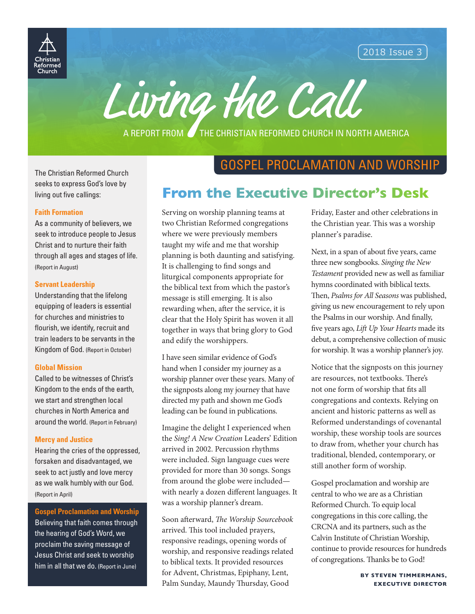

2018 Issue 3



A REPORT FROM **THE CHRISTIAN REFORMED CHURCH IN NORTH AMERICA** 

The Christian Reformed Church seeks to express God's love by living out five callings:

#### **Faith Formation**

As a community of believers, we seek to introduce people to Jesus Christ and to nurture their faith through all ages and stages of life. (Report in August)

#### **Servant Leadership**

Understanding that the lifelong equipping of leaders is essential for churches and ministries to flourish, we identify, recruit and train leaders to be servants in the Kingdom of God. (Report in October)

#### **Global Mission**

Called to be witnesses of Christ's Kingdom to the ends of the earth, we start and strengthen local churches in North America and around the world. (Report in February)

#### **Mercy and Justice**

Hearing the cries of the oppressed, forsaken and disadvantaged, we seek to act justly and love mercy as we walk humbly with our God. (Report in April)

### **Gospel Proclamation and Worship**

Believing that faith comes through the hearing of God's Word, we proclaim the saving message of Jesus Christ and seek to worship him in all that we do. (Report in June)

# GOSPEL PROCLAMATION AND WORSHIP

# **From the Executive Director's Desk**

Serving on worship planning teams at two Christian Reformed congregations where we were previously members taught my wife and me that worship planning is both daunting and satisfying. It is challenging to find songs and liturgical components appropriate for the biblical text from which the pastor's message is still emerging. It is also rewarding when, after the service, it is clear that the Holy Spirit has woven it all together in ways that bring glory to God and edify the worshippers.

I have seen similar evidence of God's hand when I consider my journey as a worship planner over these years. Many of the signposts along my journey that have directed my path and shown me God's leading can be found in publications.

Imagine the delight I experienced when the *Sing! A New Creation* Leaders' Edition arrived in 2002. Percussion rhythms were included. Sign language cues were provided for more than 30 songs. Songs from around the globe were included with nearly a dozen different languages. It was a worship planner's dream.

Soon afterward, *The Worship Sourcebook*  arrived. This tool included prayers, responsive readings, opening words of worship, and responsive readings related to biblical texts. It provided resources for Advent, Christmas, Epiphany, Lent, Palm Sunday, Maundy Thursday, Good

Friday, Easter and other celebrations in the Christian year. This was a worship planner's paradise.

Next, in a span of about five years, came three new songbooks. *Singing the New Testament* provided new as well as familiar hymns coordinated with biblical texts. Then, *Psalms for All Seasons* was published, giving us new encouragement to rely upon the Psalms in our worship. And finally, five years ago, *Lift Up Your Hearts* made its debut, a comprehensive collection of music for worship. It was a worship planner's joy.

Notice that the signposts on this journey are resources, not textbooks. There's not one form of worship that fits all congregations and contexts. Relying on ancient and historic patterns as well as Reformed understandings of covenantal worship, these worship tools are sources to draw from, whether your church has traditional, blended, contemporary, or still another form of worship.

Gospel proclamation and worship are central to who we are as a Christian Reformed Church. To equip local congregations in this core calling, the CRCNA and its partners, such as the Calvin Institute of Christian Worship, continue to provide resources for hundreds of congregations. Thanks be to God!

> **BY STEVEN TIMMERMANS, EXECUTIVE DIRECTOR**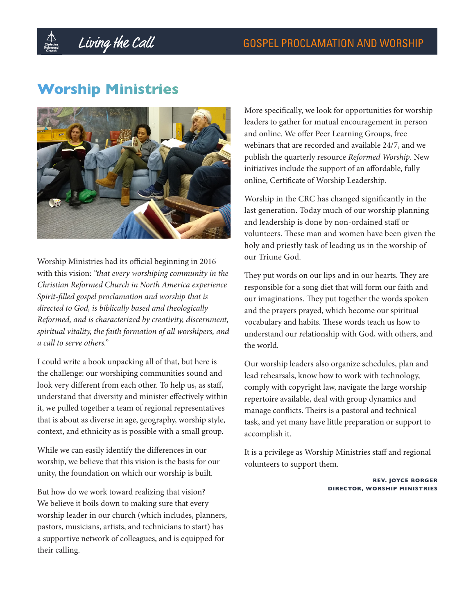# **Worship Ministries**



Worship Ministries had its official beginning in 2016 with this vision: *"that every worshiping community in the Christian Reformed Church in North America experience Spirit-filled gospel proclamation and worship that is directed to God, is biblically based and theologically Reformed, and is characterized by creativity, discernment, spiritual vitality, the faith formation of all worshipers, and a call to serve others."* 

I could write a book unpacking all of that, but here is the challenge: our worshiping communities sound and look very different from each other. To help us, as staff, understand that diversity and minister effectively within it, we pulled together a team of regional representatives that is about as diverse in age, geography, worship style, context, and ethnicity as is possible with a small group.

While we can easily identify the differences in our worship, we believe that this vision is the basis for our unity, the foundation on which our worship is built.

But how do we work toward realizing that vision? We believe it boils down to making sure that every worship leader in our church (which includes, planners, pastors, musicians, artists, and technicians to start) has a supportive network of colleagues, and is equipped for their calling.

More specifically, we look for opportunities for worship leaders to gather for mutual encouragement in person and online. We offer Peer Learning Groups, free webinars that are recorded and available 24/7, and we publish the quarterly resource *Reformed Worship*. New initiatives include the support of an affordable, fully online, Certificate of Worship Leadership.

Worship in the CRC has changed significantly in the last generation. Today much of our worship planning and leadership is done by non-ordained staff or volunteers. These man and women have been given the holy and priestly task of leading us in the worship of our Triune God.

They put words on our lips and in our hearts. They are responsible for a song diet that will form our faith and our imaginations. They put together the words spoken and the prayers prayed, which become our spiritual vocabulary and habits. These words teach us how to understand our relationship with God, with others, and the world.

Our worship leaders also organize schedules, plan and lead rehearsals, know how to work with technology, comply with copyright law, navigate the large worship repertoire available, deal with group dynamics and manage conflicts. Theirs is a pastoral and technical task, and yet many have little preparation or support to accomplish it.

It is a privilege as Worship Ministries staff and regional volunteers to support them.

> **REV. JOYCE BORGER DIRECTOR, WORSHIP MINISTRIES**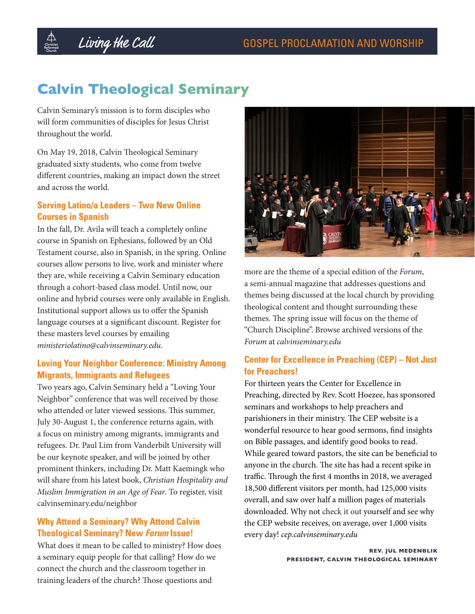# **Calvin Theological Seminary**

Calvin Seminary's mission is to form disciples who will form communities of disciples for Jesus Christ throughout the world.

On May 19, 2018, Calvin Theological Seminary graduated sixty students, who come from twelve different countries, making an impact down the street and across the world.

## **Serving Latino/a Leaders – Two New Online Courses in Spanish**

In the fall, Dr. Avila will teach a completely online course in Spanish on Ephesians, followed by an Old Testament course, also in Spanish, in the spring. Online courses allow persons to live, work and minister where they are, while receiving a Calvin Seminary education through a cohort-based class model. Until now, our online and hybrid courses were only available in English. Institutional support allows us to offer the Spanish language courses at a significant discount. Register for these masters level courses by emailing *ministeriolatino@calvinseminary.edu*.

## **Loving Your Neighbor Conference: Ministry Among Migrants, Immigrants and Refugees**

Two years ago, Calvin Seminary held a "Loving Your Neighbor" conference that was well received by those who attended or later viewed sessions. This summer, July 30-August 1, the conference returns again, with a focus on ministry among migrants, immigrants and refugees. Dr. Paul Lim from Vanderbilt University will be our keynote speaker, and will be joined by other prominent thinkers, including Dr. Matt Kaemingk who will share from his latest book, *Christian Hospitality and Muslim Immigration in an Age of Fear*. To register, visit calvinseminary.edu/neighbor

## **Why Attend a Seminary? Why Attend Calvin Theological Seminary? New Forum Issue!**

What does it mean to be called to ministry? How does a seminary equip people for that calling? How do we connect the church and the classroom together in training leaders of the church? Those questions and



more are the theme of a special edition of the *Forum*, a semi-annual magazine that addresses questions and themes being discussed at the local church by providing theological content and thought surrounding these themes. The spring issue will focus on the theme of "Church Discipline". Browse archived versions of the *Forum* at *calvinseminary.edu*

## **Center for Excellence in Preaching (CEP) – Not Just for Preachers!**

For thirteen years the Center for Excellence in Preaching, directed by Rev. Scott Hoezee, has sponsored seminars and workshops to help preachers and parishioners in their ministry. The CEP website is a wonderful resource to hear good sermons, find insights on Bible passages, and identify good books to read. While geared toward pastors, the site can be beneficial to anyone in the church. The site has had a recent spike in traffic. Through the first 4 months in 2018, we averaged 18,500 different visitors per month, had 125,000 visits overall, and saw over half a million pages of materials downloaded. Why not check it out yourself and see why the CEP website receives, on average, over 1,000 visits every day! *cep.calvinseminary.edu*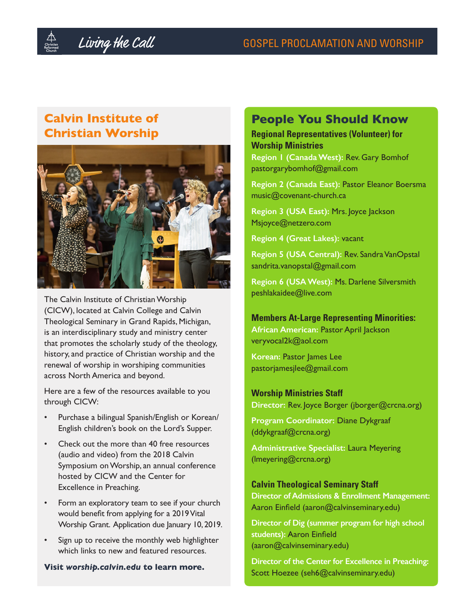## **Calvin Institute of Christian Worship**



The Calvin Institute of Christian Worship (CICW), located at Calvin College and Calvin Theological Seminary in Grand Rapids, Michigan, is an interdisciplinary study and ministry center that promotes the scholarly study of the theology, history, and practice of Christian worship and the renewal of worship in worshiping communities across North America and beyond.

Here are a few of the resources available to you through CICW:

- Purchase a bilingual Spanish/English or Korean/ English children's book on the Lord's Supper.
- Check out the more than 40 free resources (audio and video) from the 2018 Calvin Symposium on Worship, an annual conference hosted by CICW and the Center for Excellence in Preaching.
- Form an exploratory team to see if your church would benefit from applying for a 2019 Vital Worship Grant. Application due January 10, 2019.
- Sign up to receive the monthly web highlighter which links to new and featured resources.

### **Visit** *worship.calvin.edu* **to learn more.**

## **People You Should Know**

**Regional Representatives (Volunteer) for Worship Ministries**

**Region 1 (Canada West):** Rev. Gary Bomhof pastorgarybomhof@gmail.com

**Region 2 (Canada East):** Pastor Eleanor Boersma music@covenant-church.ca

**Region 3 (USA East):** Mrs. Joyce Jackson Msjoyce@netzero.com

**Region 4 (Great Lakes):** vacant

**Region 5 (USA Central):** Rev. Sandra VanOpstal sandrita.vanopstal@gmail.com

**Region 6 (USA West):** Ms. Darlene Silversmith peshlakaidee@live.com

### **Members At-Large Representing Minorities:**

**African American:** Pastor April Jackson veryvocal2k@aol.com

**Korean:** Pastor James Lee pastorjamesjlee@gmail.com

### **Worship Ministries Staff**

**Director:** Rev. Joyce Borger (jborger@crcna.org)

**Program Coordinator:** Diane Dykgraaf (ddykgraaf@crcna.org)

**Administrative Specialist:** Laura Meyering (lmeyering@crcna.org)

## **Calvin Theological Seminary Staff**

**Director of Admissions & Enrollment Management:**  Aaron Einfield (aaron@calvinseminary.edu)

**Director of Dig (summer program for high school students):** Aaron Einfield (aaron@calvinseminary.edu)

**Director of the Center for Excellence in Preaching:**  Scott Hoezee (seh6@calvinseminary.edu)